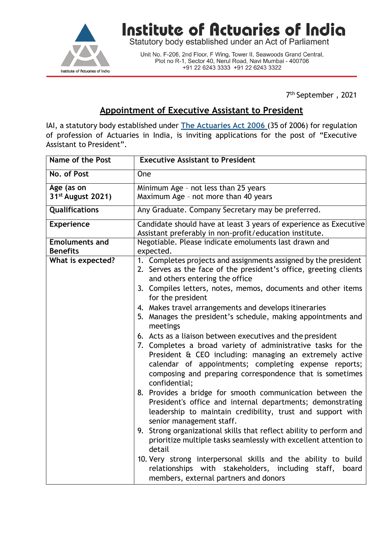

## Institute of Actuaries of India

Statutory body established under an Act of Parliament

Unit No. F-206, 2nd Floor, F Wing, Tower II, Seawoods Grand Central,<br>Plot no R-1, Sector 40, Nerul Road, Navi Mumbai - 400706 +91 22 6243 3333 +91 22 6243 3322

7 th September , 2021

## **Appointment of Executive Assistant to President**

IAI, a statutory body established under **The [Actuaries](http://www.actuariesindia.org/guidance/scanned%20GN.pdf) Act 2006** (35 of 2006) for regulation of profession of Actuaries in India, is inviting applications for the post of "Executive Assistant to President".

| <b>Name of the Post</b>                  | <b>Executive Assistant to President</b>                                                                                                                                                                                                                                                                                    |
|------------------------------------------|----------------------------------------------------------------------------------------------------------------------------------------------------------------------------------------------------------------------------------------------------------------------------------------------------------------------------|
| No. of Post                              | One                                                                                                                                                                                                                                                                                                                        |
| Age (as on                               | Minimum Age - not less than 25 years                                                                                                                                                                                                                                                                                       |
| 31 <sup>st</sup> August 2021)            | Maximum Age - not more than 40 years                                                                                                                                                                                                                                                                                       |
| Qualifications                           | Any Graduate. Company Secretary may be preferred.                                                                                                                                                                                                                                                                          |
| <b>Experience</b>                        | Candidate should have at least 3 years of experience as Executive<br>Assistant preferably in non-profit/education institute.                                                                                                                                                                                               |
| <b>Emoluments and</b><br><b>Benefits</b> | Negotiable. Please indicate emoluments last drawn and<br>expected.                                                                                                                                                                                                                                                         |
| What is expected?                        | 1. Completes projects and assignments assigned by the president<br>2. Serves as the face of the president's office, greeting clients<br>and others entering the office                                                                                                                                                     |
|                                          | 3. Compiles letters, notes, memos, documents and other items<br>for the president                                                                                                                                                                                                                                          |
|                                          | 4. Makes travel arrangements and develops itineraries<br>5. Manages the president's schedule, making appointments and<br>meetings                                                                                                                                                                                          |
|                                          | 6. Acts as a liaison between executives and the president<br>7. Completes a broad variety of administrative tasks for the<br>President & CEO including: managing an extremely active<br>calendar of appointments; completing expense reports;<br>composing and preparing correspondence that is sometimes<br>confidential; |
|                                          | 8. Provides a bridge for smooth communication between the<br>President's office and internal departments; demonstrating<br>leadership to maintain credibility, trust and support with<br>senior management staff.                                                                                                          |
|                                          | 9. Strong organizational skills that reflect ability to perform and<br>prioritize multiple tasks seamlessly with excellent attention to<br>detail                                                                                                                                                                          |
|                                          | 10. Very strong interpersonal skills and the ability to build<br>relationships with stakeholders, including staff,<br>board<br>members, external partners and donors                                                                                                                                                       |